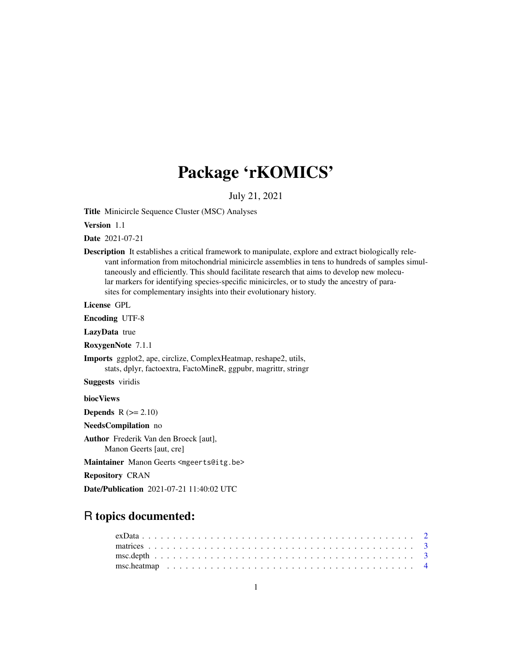## Package 'rKOMICS'

July 21, 2021

Title Minicircle Sequence Cluster (MSC) Analyses

Version 1.1

Date 2021-07-21

Description It establishes a critical framework to manipulate, explore and extract biologically relevant information from mitochondrial minicircle assemblies in tens to hundreds of samples simultaneously and efficiently. This should facilitate research that aims to develop new molecular markers for identifying species-specific minicircles, or to study the ancestry of parasites for complementary insights into their evolutionary history.

License GPL

Encoding UTF-8

LazyData true

RoxygenNote 7.1.1

Imports ggplot2, ape, circlize, ComplexHeatmap, reshape2, utils, stats, dplyr, factoextra, FactoMineR, ggpubr, magrittr, stringr

Suggests viridis

biocViews

**Depends**  $R$  ( $>= 2.10$ )

NeedsCompilation no

Author Frederik Van den Broeck [aut],

Manon Geerts [aut, cre]

Maintainer Manon Geerts <mgeerts@itg.be>

Repository CRAN

Date/Publication 2021-07-21 11:40:02 UTC

### R topics documented: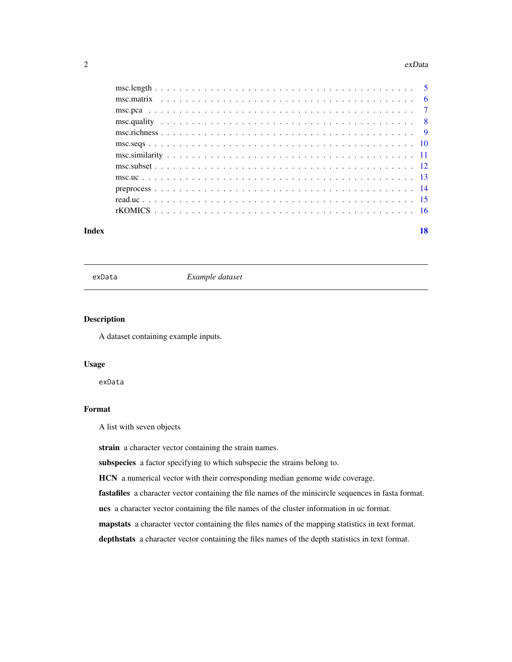#### <span id="page-1-0"></span> $2 \cos \theta$  exData

#### **Index** 2008 **[18](#page-17-0)**

exData *Example dataset*

#### Description

A dataset containing example inputs.

#### Usage

exData

#### Format

A list with seven objects

strain a character vector containing the strain names.

subspecies a factor specifying to which subspecie the strains belong to.

HCN a numerical vector with their corresponding median genome wide coverage.

fastafiles a character vector containing the file names of the minicircle sequences in fasta format.

ucs a character vector containing the file names of the cluster information in uc format.

mapstats a character vector containing the files names of the mapping statistics in text format.

depthstats a character vector containing the files names of the depth statistics in text format.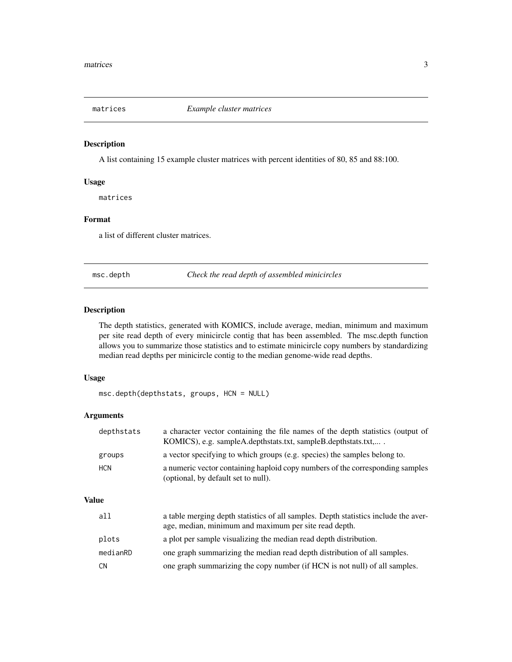<span id="page-2-0"></span>

#### Description

A list containing 15 example cluster matrices with percent identities of 80, 85 and 88:100.

#### Usage

matrices

#### Format

a list of different cluster matrices.

msc.depth *Check the read depth of assembled minicircles*

#### Description

The depth statistics, generated with KOMICS, include average, median, minimum and maximum per site read depth of every minicircle contig that has been assembled. The msc.depth function allows you to summarize those statistics and to estimate minicircle copy numbers by standardizing median read depths per minicircle contig to the median genome-wide read depths.

#### Usage

msc.depth(depthstats, groups, HCN = NULL)

#### Arguments

| depthstats | a character vector containing the file names of the depth statistics (output of<br>KOMICS), e.g. sampleA.depthstats.txt, sampleB.depthstats.txt, |
|------------|--------------------------------------------------------------------------------------------------------------------------------------------------|
| groups     | a vector specifying to which groups (e.g. species) the samples belong to.                                                                        |
| <b>HCN</b> | a numeric vector containing haploid copy numbers of the corresponding samples<br>(optional, by default set to null).                             |

| a11       | a table merging depth statistics of all samples. Depth statistics include the aver-<br>age, median, minimum and maximum per site read depth. |
|-----------|----------------------------------------------------------------------------------------------------------------------------------------------|
| plots     | a plot per sample visualizing the median read depth distribution.                                                                            |
| medianRD  | one graph summarizing the median read depth distribution of all samples.                                                                     |
| <b>CN</b> | one graph summarizing the copy number (if HCN is not null) of all samples.                                                                   |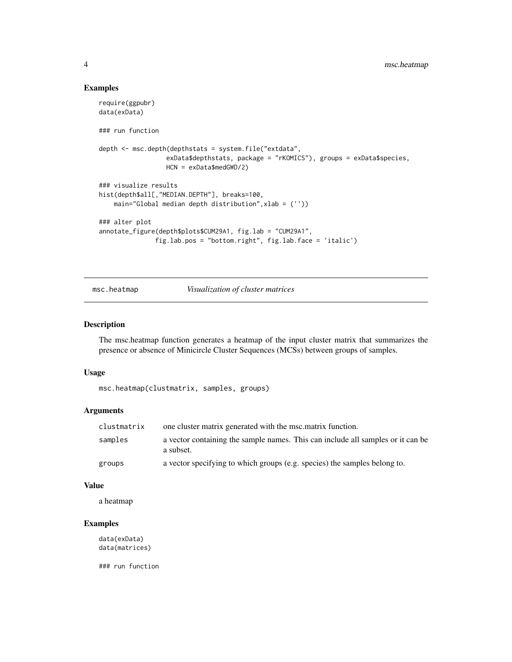```
require(ggpubr)
data(exData)
### run function
depth <- msc.depth(depthstats = system.file("extdata",
                  exData$depthstats, package = "rKOMICS"), groups = exData$species,
                  HCN = exData$medGWD/2)
### visualize results
hist(depth$all[,"MEDIAN.DEPTH"], breaks=100,
   main="Global median depth distribution",xlab = (''))
### alter plot
annotate_figure(depth$plots$CUM29A1, fig.lab = "CUM29A1",
               fig.lab.pos = "bottom.right", fig.lab.face = 'italic')
```
msc.heatmap *Visualization of cluster matrices*

#### Description

The msc.heatmap function generates a heatmap of the input cluster matrix that summarizes the presence or absence of Minicircle Cluster Sequences (MCSs) between groups of samples.

#### Usage

```
msc.heatmap(clustmatrix, samples, groups)
```
#### Arguments

| clustmatrix | one cluster matrix generated with the msc.matrix function.                                   |
|-------------|----------------------------------------------------------------------------------------------|
| samples     | a vector containing the sample names. This can include all samples or it can be<br>a subset. |
| groups      | a vector specifying to which groups (e.g. species) the samples belong to.                    |

#### Value

a heatmap

#### Examples

data(exData) data(matrices)

### run function

<span id="page-3-0"></span>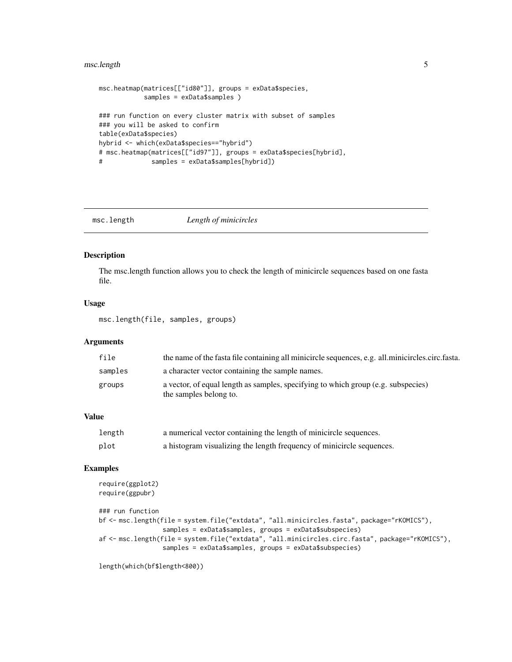#### <span id="page-4-0"></span>msc.length 5

```
msc.heatmap(matrices[["id80"]], groups = exData$species,
           samples = exData$samples )
### run function on every cluster matrix with subset of samples
### you will be asked to confirm
table(exData$species)
hybrid <- which(exData$species=="hybrid")
# msc.heatmap(matrices[["id97"]], groups = exData$species[hybrid],
# samples = exData$samples[hybrid])
```
msc.length *Length of minicircles*

#### Description

The msc.length function allows you to check the length of minicircle sequences based on one fasta file.

#### Usage

msc.length(file, samples, groups)

#### Arguments

| file    | the name of the fasta file containing all minicircle sequences, e.g. all minicircles circ fasta.            |
|---------|-------------------------------------------------------------------------------------------------------------|
| samples | a character vector containing the sample names.                                                             |
| groups  | a vector, of equal length as samples, specifying to which group (e.g. subspecies)<br>the samples belong to. |

#### Value

| length | a numerical vector containing the length of minicircle sequences.     |
|--------|-----------------------------------------------------------------------|
| plot   | a histogram visualizing the length frequency of minicircle sequences. |

#### Examples

```
require(ggplot2)
require(ggpubr)
### run function
bf <- msc.length(file = system.file("extdata", "all.minicircles.fasta", package="rKOMICS"),
                 samples = exData$samples, groups = exData$subspecies)
af <- msc.length(file = system.file("extdata", "all.minicircles.circ.fasta", package="rKOMICS"),
                 samples = exData$samples, groups = exData$subspecies)
```
length(which(bf\$length<800))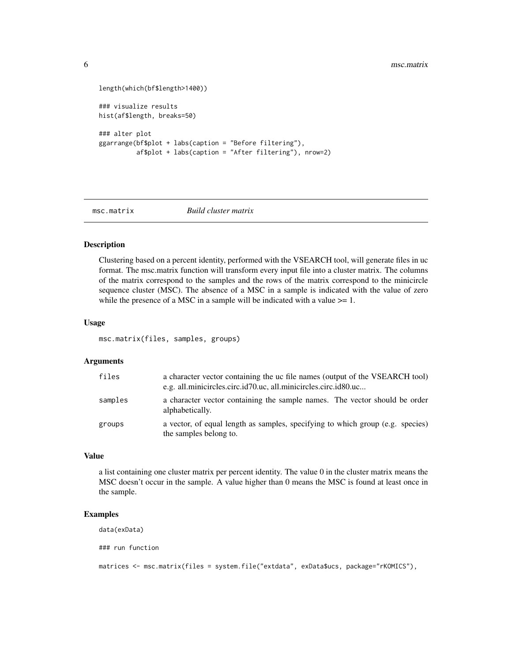```
length(which(bf$length>1400))
### visualize results
hist(af$length, breaks=50)
### alter plot
ggarrange(bf$plot + labs(caption = "Before filtering"),
          af$plot + labs(caption = "After filtering"), nrow=2)
```
msc.matrix *Build cluster matrix*

#### Description

Clustering based on a percent identity, performed with the VSEARCH tool, will generate files in uc format. The msc.matrix function will transform every input file into a cluster matrix. The columns of the matrix correspond to the samples and the rows of the matrix correspond to the minicircle sequence cluster (MSC). The absence of a MSC in a sample is indicated with the value of zero while the presence of a MSC in a sample will be indicated with a value  $\geq 1$ .

#### Usage

msc.matrix(files, samples, groups)

#### Arguments

| files   | a character vector containing the uc file names (output of the VSEARCH tool)<br>e.g. all.minicircles.circ.id70.uc, all.minicircles.circ.id80.uc |
|---------|-------------------------------------------------------------------------------------------------------------------------------------------------|
| samples | a character vector containing the sample names. The vector should be order<br>alphabetically.                                                   |
| groups  | a vector, of equal length as samples, specifying to which group (e.g. species)<br>the samples belong to.                                        |

#### Value

a list containing one cluster matrix per percent identity. The value 0 in the cluster matrix means the MSC doesn't occur in the sample. A value higher than 0 means the MSC is found at least once in the sample.

#### Examples

data(exData)

### run function

matrices <- msc.matrix(files = system.file("extdata", exData\$ucs, package="rKOMICS"),

<span id="page-5-0"></span>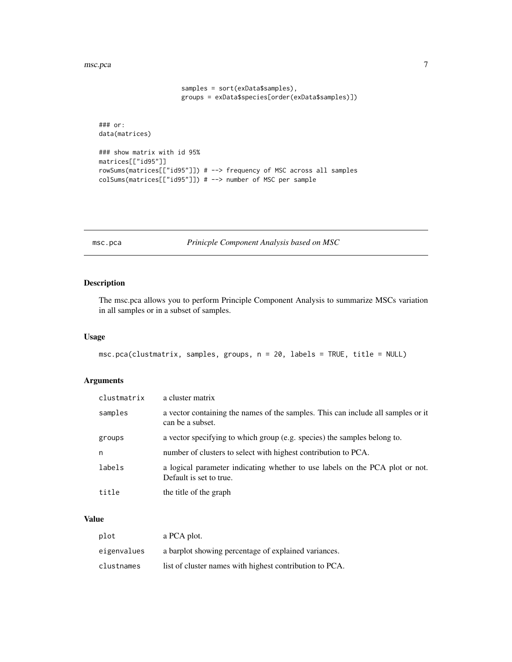```
samples = sort(exData$samples),
                      groups = exData$species[order(exData$samples)])
### or:
data(matrices)
### show matrix with id 95%
matrices[["id95"]]
rowSums(matrices[["id95"]]) # --> frequency of MSC across all samples
colSums(matrices[["id95"]]) # --> number of MSC per sample
```
msc.pca *Prinicple Component Analysis based on MSC*

#### Description

The msc.pca allows you to perform Principle Component Analysis to summarize MSCs variation in all samples or in a subset of samples.

#### Usage

```
msc.pca(clustmatrix, samples, groups, n = 20, labels = TRUE, title = NULL)
```
#### Arguments

| clustmatrix | a cluster matrix                                                                                        |
|-------------|---------------------------------------------------------------------------------------------------------|
| samples     | a vector containing the names of the samples. This can include all samples or it<br>can be a subset.    |
| groups      | a vector specifying to which group (e.g. species) the samples belong to.                                |
| n           | number of clusters to select with highest contribution to PCA.                                          |
| labels      | a logical parameter indicating whether to use labels on the PCA plot or not.<br>Default is set to true. |
| title       | the title of the graph                                                                                  |

| plot        | a PCA plot.                                             |
|-------------|---------------------------------------------------------|
| eigenvalues | a barplot showing percentage of explained variances.    |
| clustnames  | list of cluster names with highest contribution to PCA. |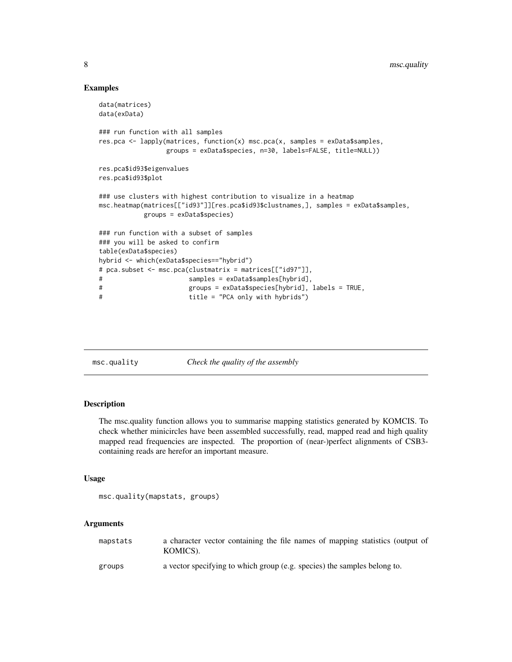```
data(matrices)
data(exData)
### run function with all samples
res.pca <- lapply(matrices, function(x) msc.pca(x, samples = exData$samples,
                groups = exData$species, n=30, labels=FALSE, title=NULL))
res.pca$id93$eigenvalues
res.pca$id93$plot
### use clusters with highest contribution to visualize in a heatmap
msc.heatmap(matrices[["id93"]][res.pca$id93$clustnames,], samples = exData$samples,
           groups = exData$species)
### run function with a subset of samples
### you will be asked to confirm
table(exData$species)
hybrid <- which(exData$species=="hybrid")
# pca.subset <- msc.pca(clustmatrix = matrices[["id97"]],
# samples = exData$samples[hybrid],
# groups = exData$species[hybrid], labels = TRUE,
# title = "PCA only with hybrids")
```
msc.quality *Check the quality of the assembly*

#### Description

The msc.quality function allows you to summarise mapping statistics generated by KOMCIS. To check whether minicircles have been assembled successfully, read, mapped read and high quality mapped read frequencies are inspected. The proportion of (near-)perfect alignments of CSB3 containing reads are herefor an important measure.

#### Usage

```
msc.quality(mapstats, groups)
```
#### Arguments

| mapstats | a character vector containing the file names of mapping statistics (output of<br>KOMICS). |
|----------|-------------------------------------------------------------------------------------------|
| groups   | a vector specifying to which group (e.g. species) the samples belong to.                  |

<span id="page-7-0"></span>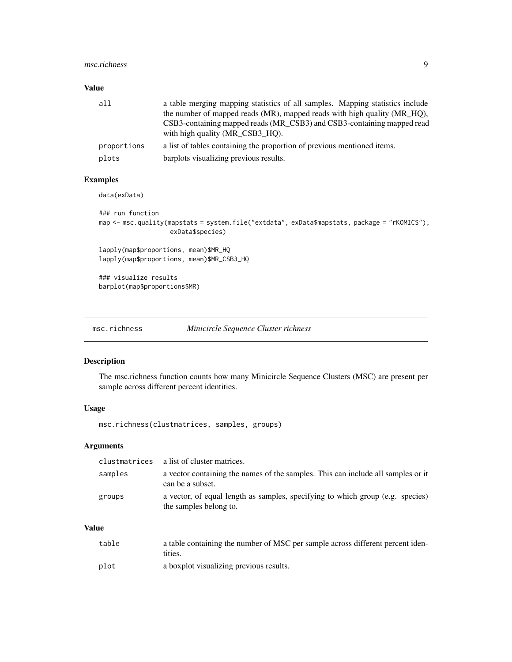#### <span id="page-8-0"></span>msc.richness 9

#### Value

| all         | a table merging mapping statistics of all samples. Mapping statistics include<br>the number of mapped reads (MR), mapped reads with high quality (MR HQ),<br>CSB3-containing mapped reads (MR_CSB3) and CSB3-containing mapped read<br>with high quality (MR CSB3 HO). |
|-------------|------------------------------------------------------------------------------------------------------------------------------------------------------------------------------------------------------------------------------------------------------------------------|
| proportions | a list of tables containing the proportion of previous mentioned items.                                                                                                                                                                                                |
| plots       | barplots visualizing previous results.                                                                                                                                                                                                                                 |

#### Examples

data(exData)

```
### run function
map <- msc.quality(mapstats = system.file("extdata", exData$mapstats, package = "rKOMICS"),
                   exData$species)
```
lapply(map\$proportions, mean)\$MR\_HQ lapply(map\$proportions, mean)\$MR\_CSB3\_HQ

### visualize results barplot(map\$proportions\$MR)

msc.richness *Minicircle Sequence Cluster richness*

#### Description

The msc.richness function counts how many Minicircle Sequence Clusters (MSC) are present per sample across different percent identities.

#### Usage

msc.richness(clustmatrices, samples, groups)

#### Arguments

|         | clustmatrices a list of cluster matrices.                                                                |
|---------|----------------------------------------------------------------------------------------------------------|
| samples | a vector containing the names of the samples. This can include all samples or it<br>can be a subset.     |
| groups  | a vector, of equal length as samples, specifying to which group (e.g. species)<br>the samples belong to. |

| table | a table containing the number of MSC per sample across different percent iden-<br>tities. |
|-------|-------------------------------------------------------------------------------------------|
| plot  | a boxplot visualizing previous results.                                                   |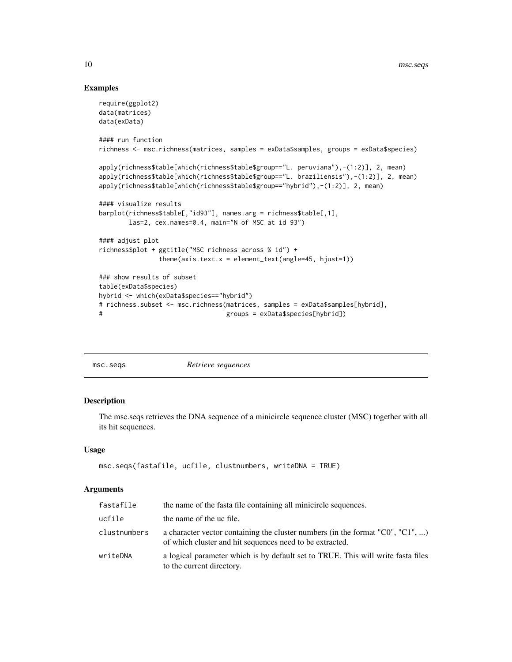```
require(ggplot2)
data(matrices)
data(exData)
#### run function
richness <- msc.richness(matrices, samples = exData$samples, groups = exData$species)
apply(richness$table[which(richness$table$group=="L. peruviana"),-(1:2)], 2, mean)
apply(richness$table[which(richness$table$group=="L. braziliensis"),-(1:2)], 2, mean)
apply(richness$table[which(richness$table$group=="hybrid"),-(1:2)], 2, mean)
#### visualize results
barplot(richness$table[,"id93"], names.arg = richness$table[,1],
       las=2, cex.names=0.4, main="N of MSC at id 93")
#### adjust plot
richness$plot + ggtitle("MSC richness across % id") +
               theme(axis.text.x = element_text(angle=45, hjust=1))
### show results of subset
table(exData$species)
hybrid <- which(exData$species=="hybrid")
# richness.subset <- msc.richness(matrices, samples = exData$samples[hybrid],
# groups = exData$species[hybrid])
```

| msc.seqs | Retrieve sequences |  |
|----------|--------------------|--|
|          |                    |  |

#### Description

The msc.seqs retrieves the DNA sequence of a minicircle sequence cluster (MSC) together with all its hit sequences.

#### Usage

```
msc.seqs(fastafile, ucfile, clustnumbers, writeDNA = TRUE)
```
#### Arguments

| fastafile    | the name of the fasta file containing all minicircle sequences.                                                                                    |
|--------------|----------------------------------------------------------------------------------------------------------------------------------------------------|
| ucfile       | the name of the uc file.                                                                                                                           |
| clustnumbers | a character vector containing the cluster numbers (in the format " $C0$ ", " $C1$ ", )<br>of which cluster and hit sequences need to be extracted. |
| writeDNA     | a logical parameter which is by default set to TRUE. This will write fasta files<br>to the current directory.                                      |

<span id="page-9-0"></span>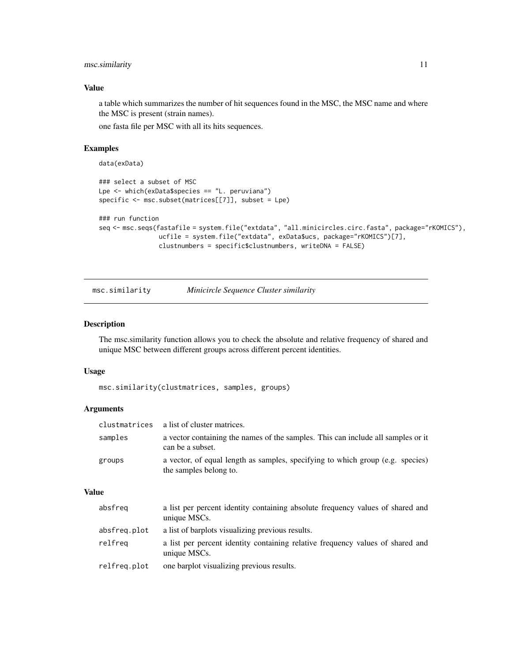#### <span id="page-10-0"></span>msc.similarity 11

#### Value

a table which summarizes the number of hit sequences found in the MSC, the MSC name and where the MSC is present (strain names).

one fasta file per MSC with all its hits sequences.

#### Examples

data(exData)

```
### select a subset of MSC
Lpe <- which(exData$species == "L. peruviana")
specific <- msc.subset(matrices[[7]], subset = Lpe)
```

```
### run function
seq <- msc.seqs(fastafile = system.file("extdata", "all.minicircles.circ.fasta", package="rKOMICS"),
                ucfile = system.file("extdata", exData$ucs, package="rKOMICS")[7],
                clustnumbers = specific$clustnumbers, writeDNA = FALSE)
```
msc.similarity *Minicircle Sequence Cluster similarity*

#### Description

The msc.similarity function allows you to check the absolute and relative frequency of shared and unique MSC between different groups across different percent identities.

#### Usage

msc.similarity(clustmatrices, samples, groups)

#### Arguments

| clustmatrices | a list of cluster matrices.                                                                              |
|---------------|----------------------------------------------------------------------------------------------------------|
| samples       | a vector containing the names of the samples. This can include all samples or it<br>can be a subset.     |
| groups        | a vector, of equal length as samples, specifying to which group (e.g. species)<br>the samples belong to. |

| absfreq      | a list per percent identity containing absolute frequency values of shared and<br>unique MSCs. |
|--------------|------------------------------------------------------------------------------------------------|
| absfreg.plot | a list of barplots visualizing previous results.                                               |
| relfreg      | a list per percent identity containing relative frequency values of shared and<br>unique MSCs. |
| relfreg.plot | one barplot visualizing previous results.                                                      |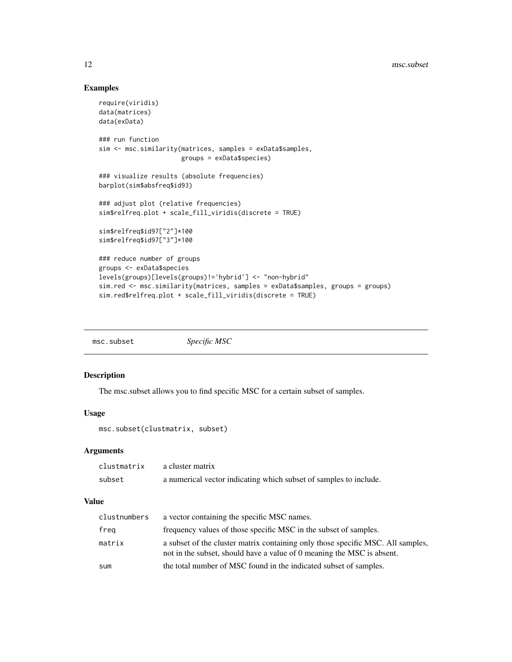```
require(viridis)
data(matrices)
data(exData)
### run function
sim <- msc.similarity(matrices, samples = exData$samples,
                      groups = exData$species)
### visualize results (absolute frequencies)
barplot(sim$absfreq$id93)
### adjust plot (relative frequencies)
sim$relfreq.plot + scale_fill_viridis(discrete = TRUE)
sim$relfreq$id97["2"]*100
sim$relfreq$id97["3"]*100
### reduce number of groups
groups <- exData$species
levels(groups)[levels(groups)!='hybrid'] <- "non-hybrid"
sim.red <- msc.similarity(matrices, samples = exData$samples, groups = groups)
sim.red$relfreq.plot + scale_fill_viridis(discrete = TRUE)
```

| msc.subset | Specific MSC |
|------------|--------------|
|------------|--------------|

#### Description

The msc.subset allows you to find specific MSC for a certain subset of samples.

#### Usage

msc.subset(clustmatrix, subset)

#### Arguments

| clustmatrix | a cluster matrix                                                  |
|-------------|-------------------------------------------------------------------|
| subset      | a numerical vector indicating which subset of samples to include. |

| clustnumbers | a vector containing the specific MSC names.                                                                                                               |
|--------------|-----------------------------------------------------------------------------------------------------------------------------------------------------------|
| freg         | frequency values of those specific MSC in the subset of samples.                                                                                          |
| matrix       | a subset of the cluster matrix containing only those specific MSC. All samples,<br>not in the subset, should have a value of 0 meaning the MSC is absent. |
| sum          | the total number of MSC found in the indicated subset of samples.                                                                                         |

<span id="page-11-0"></span>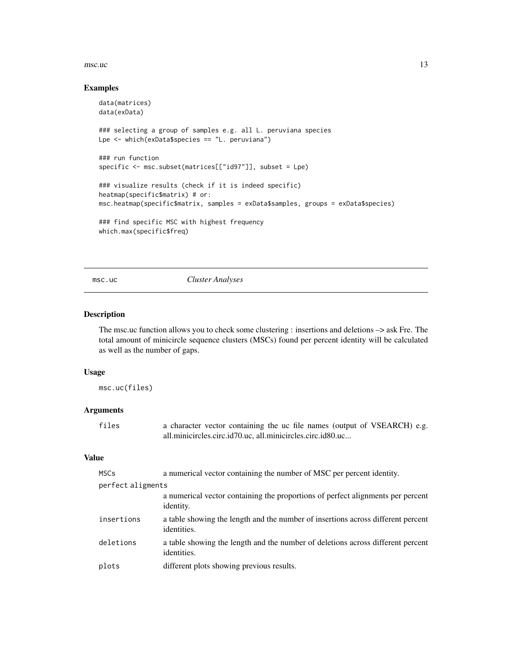#### <span id="page-12-0"></span> $\text{msc.uc}$  13

#### Examples

```
data(matrices)
data(exData)
### selecting a group of samples e.g. all L. peruviana species
Lpe <- which(exData$species == "L. peruviana")
### run function
specific <- msc.subset(matrices[["id97"]], subset = Lpe)
### visualize results (check if it is indeed specific)
heatmap(specific$matrix) # or:
msc.heatmap(specific$matrix, samples = exData$samples, groups = exData$species)
### find specific MSC with highest frequency
which.max(specific$freq)
```
#### msc.uc *Cluster Analyses*

#### Description

The msc.uc function allows you to check some clustering : insertions and deletions –> ask Fre. The total amount of minicircle sequence clusters (MSCs) found per percent identity will be calculated as well as the number of gaps.

#### Usage

msc.uc(files)

#### Arguments

| files | a character vector containing the uc file names (output of VSEARCH) e.g. |
|-------|--------------------------------------------------------------------------|
|       | all.minicircles.circ.id70.uc, all.minicircles.circ.id80.uc               |

| <b>MSCs</b>       | a numerical vector containing the number of MSC per percent identity.                           |
|-------------------|-------------------------------------------------------------------------------------------------|
| perfect aligments |                                                                                                 |
|                   | a numerical vector containing the proportions of perfect alignments per percent<br>identity.    |
| insertions        | a table showing the length and the number of insertions across different percent<br>identities. |
| deletions         | a table showing the length and the number of deletions across different percent<br>identities.  |
| plots             | different plots showing previous results.                                                       |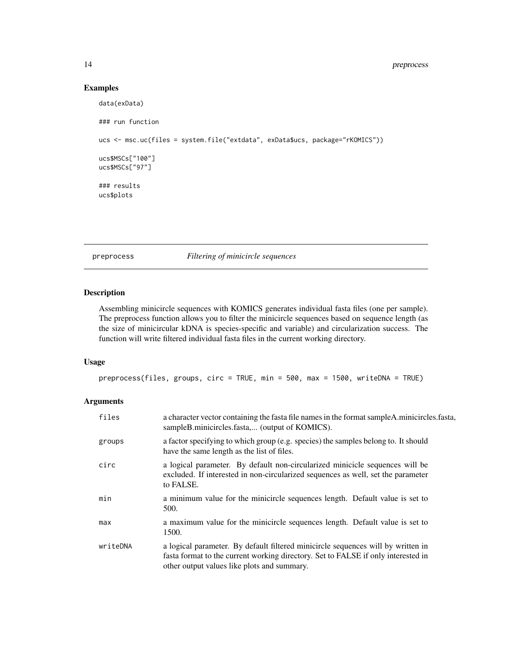#### <span id="page-13-0"></span>14 preprocess

#### Examples

```
data(exData)
### run function
ucs <- msc.uc(files = system.file("extdata", exData$ucs, package="rKOMICS"))
ucs$MSCs["100"]
ucs$MSCs["97"]
### results
ucs$plots
```
preprocess *Filtering of minicircle sequences*

#### Description

Assembling minicircle sequences with KOMICS generates individual fasta files (one per sample). The preprocess function allows you to filter the minicircle sequences based on sequence length (as the size of minicircular kDNA is species-specific and variable) and circularization success. The function will write filtered individual fasta files in the current working directory.

#### Usage

```
preprocess(files, groups, circ = TRUE, min = 500, max = 1500, writeDNA = TRUE)
```
#### Arguments

| files    | a character vector containing the fasta file names in the format sampleA.minicircles.fasta,<br>sampleB.minicircles.fasta, (output of KOMICS).                                                                        |
|----------|----------------------------------------------------------------------------------------------------------------------------------------------------------------------------------------------------------------------|
| groups   | a factor specifying to which group (e.g. species) the samples belong to. It should<br>have the same length as the list of files.                                                                                     |
| circ     | a logical parameter. By default non-circularized minicicle sequences will be<br>excluded. If interested in non-circularized sequences as well, set the parameter<br>to FALSE.                                        |
| min      | a minimum value for the minicircle sequences length. Default value is set to<br>500.                                                                                                                                 |
| max      | a maximum value for the minicircle sequences length. Default value is set to<br>1500.                                                                                                                                |
| writeDNA | a logical parameter. By default filtered minicircle sequences will by written in<br>fasta format to the current working directory. Set to FALSE if only interested in<br>other output values like plots and summary. |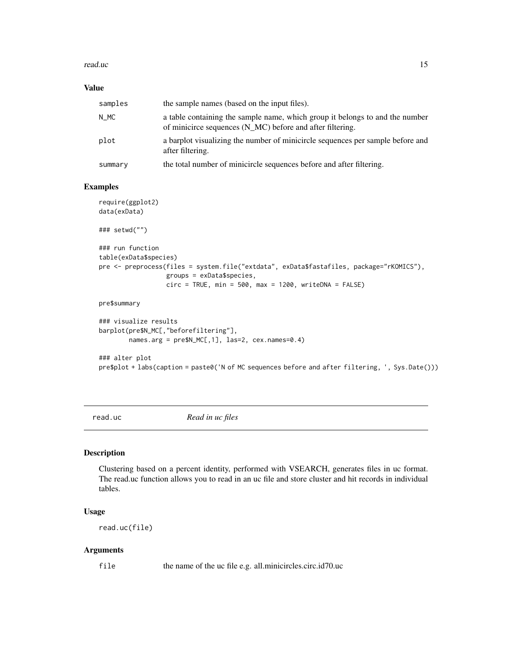#### <span id="page-14-0"></span>read.uc and 15

#### Value

| samples | the sample names (based on the input files).                                                                                              |
|---------|-------------------------------------------------------------------------------------------------------------------------------------------|
| N MC    | a table containing the sample name, which group it belongs to and the number<br>of minicirce sequences (N_MC) before and after filtering. |
| plot    | a barplot visualizing the number of minicircle sequences per sample before and<br>after filtering.                                        |
| summary | the total number of minicircle sequences before and after filtering.                                                                      |

#### Examples

```
require(ggplot2)
data(exData)
### setwd("")
### run function
table(exData$species)
pre <- preprocess(files = system.file("extdata", exData$fastafiles, package="rKOMICS"),
                  groups = exData$species,
                  circ = TRUE, min = 500, max = 1200, writeDNA = FALSE)pre$summary
### visualize results
barplot(pre$N_MC[,"beforefiltering"],
       names.arg = pre$N_MC[,1], las=2, cex.names=0.4)
```

```
### alter plot
pre$plot + labs(caption = paste0('N of MC sequences before and after filtering, ', Sys.Date()))
```
read.uc *Read in uc files*

#### Description

Clustering based on a percent identity, performed with VSEARCH, generates files in uc format. The read.uc function allows you to read in an uc file and store cluster and hit records in individual tables.

#### Usage

```
read.uc(file)
```
#### Arguments

file the name of the uc file e.g. all.minicircles.circ.id70.uc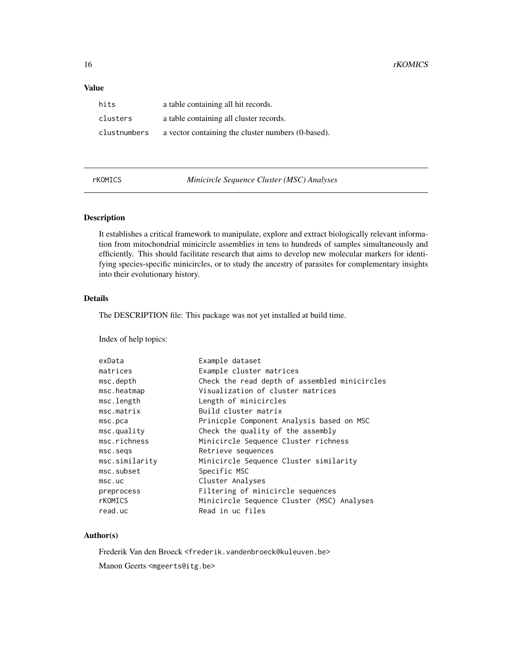#### <span id="page-15-0"></span>Value

| hits         | a table containing all hit records.                |
|--------------|----------------------------------------------------|
| clusters     | a table containing all cluster records.            |
| clustnumbers | a vector containing the cluster numbers (0-based). |

rKOMICS *Minicircle Sequence Cluster (MSC) Analyses*

#### Description

It establishes a critical framework to manipulate, explore and extract biologically relevant information from mitochondrial minicircle assemblies in tens to hundreds of samples simultaneously and efficiently. This should facilitate research that aims to develop new molecular markers for identifying species-specific minicircles, or to study the ancestry of parasites for complementary insights into their evolutionary history.

#### Details

The DESCRIPTION file: This package was not yet installed at build time.

Index of help topics:

| Example dataset                               |
|-----------------------------------------------|
| Example cluster matrices                      |
| Check the read depth of assembled minicircles |
| Visualization of cluster matrices             |
| Length of minicircles                         |
| Build cluster matrix                          |
| Prinicple Component Analysis based on MSC     |
| Check the quality of the assembly             |
| Minicircle Sequence Cluster richness          |
| Retrieve sequences                            |
| Minicircle Sequence Cluster similarity        |
| Specific MSC                                  |
| Cluster Analyses                              |
| Filtering of minicircle sequences             |
| Minicircle Sequence Cluster (MSC) Analyses    |
| Read in uc files                              |
|                                               |

#### Author(s)

Frederik Van den Broeck <frederik.vandenbroeck@kuleuven.be>

Manon Geerts <mgeerts@itg.be>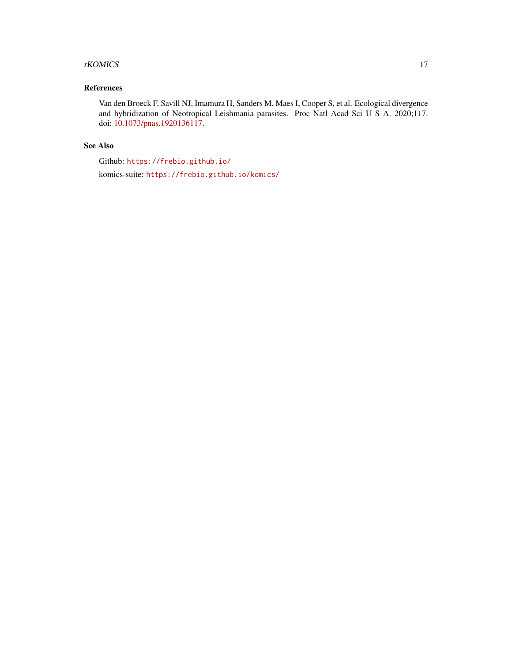#### rKOMICS 17

#### References

Van den Broeck F, Savill NJ, Imamura H, Sanders M, Maes I, Cooper S, et al. Ecological divergence and hybridization of Neotropical Leishmania parasites. Proc Natl Acad Sci U S A. 2020;117. doi: [10.1073/pnas.1920136117.](https://doi.org/10.1073/pnas.1920136117)

#### See Also

Github: <https://frebio.github.io/>

komics-suite: <https://frebio.github.io/komics/>